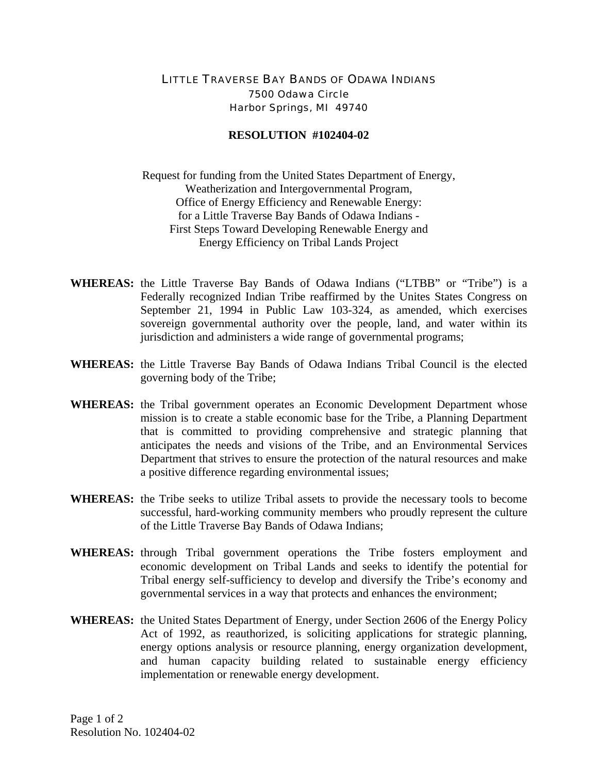## LITTLE TRAVERSE BAY BANDS OF ODAWA INDIANS 7500 Odawa Circle Harbor Springs, MI 49740

## **RESOLUTION #102404-02**

Request for funding from the United States Department of Energy, Weatherization and Intergovernmental Program, Office of Energy Efficiency and Renewable Energy: for a Little Traverse Bay Bands of Odawa Indians - First Steps Toward Developing Renewable Energy and Energy Efficiency on Tribal Lands Project

- **WHEREAS:** the Little Traverse Bay Bands of Odawa Indians ("LTBB" or "Tribe") is a Federally recognized Indian Tribe reaffirmed by the Unites States Congress on September 21, 1994 in Public Law 103-324, as amended, which exercises sovereign governmental authority over the people, land, and water within its jurisdiction and administers a wide range of governmental programs;
- **WHEREAS:** the Little Traverse Bay Bands of Odawa Indians Tribal Council is the elected governing body of the Tribe;
- **WHEREAS:** the Tribal government operates an Economic Development Department whose mission is to create a stable economic base for the Tribe, a Planning Department that is committed to providing comprehensive and strategic planning that anticipates the needs and visions of the Tribe, and an Environmental Services Department that strives to ensure the protection of the natural resources and make a positive difference regarding environmental issues;
- **WHEREAS:** the Tribe seeks to utilize Tribal assets to provide the necessary tools to become successful, hard-working community members who proudly represent the culture of the Little Traverse Bay Bands of Odawa Indians;
- **WHEREAS:** through Tribal government operations the Tribe fosters employment and economic development on Tribal Lands and seeks to identify the potential for Tribal energy self-sufficiency to develop and diversify the Tribe's economy and governmental services in a way that protects and enhances the environment;
- **WHEREAS:** the United States Department of Energy, under Section 2606 of the Energy Policy Act of 1992, as reauthorized, is soliciting applications for strategic planning, energy options analysis or resource planning, energy organization development, and human capacity building related to sustainable energy efficiency implementation or renewable energy development.